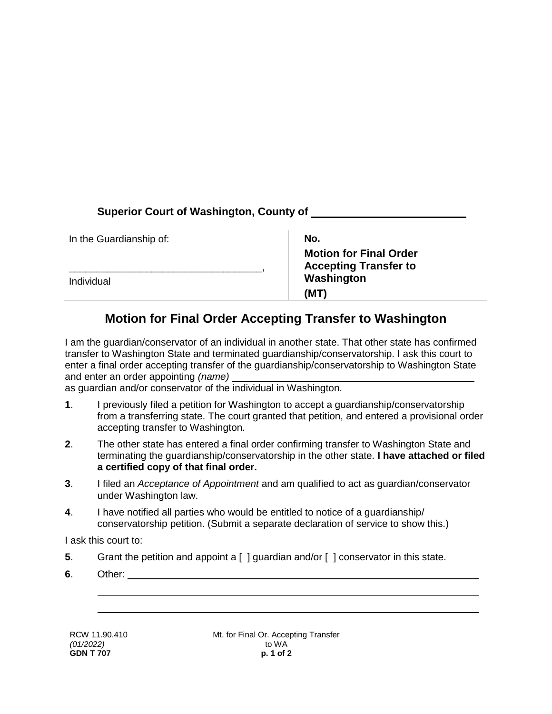## **Superior Court of Washington, County of**

| In the Guardianship of: | No.                                                           |
|-------------------------|---------------------------------------------------------------|
|                         | <b>Motion for Final Order</b><br><b>Accepting Transfer to</b> |
| Individual              | Washington                                                    |
|                         | (MT                                                           |

## **Motion for Final Order Accepting Transfer to Washington**

I am the guardian/conservator of an individual in another state. That other state has confirmed transfer to Washington State and terminated guardianship/conservatorship. I ask this court to enter a final order accepting transfer of the guardianship/conservatorship to Washington State and enter an order appointing *(name)*

as guardian and/or conservator of the individual in Washington.

- **1**. I previously filed a petition for Washington to accept a guardianship/conservatorship from a transferring state. The court granted that petition, and entered a provisional order accepting transfer to Washington.
- **2**. The other state has entered a final order confirming transfer to Washington State and terminating the guardianship/conservatorship in the other state. **I have attached or filed a certified copy of that final order.**
- **3**. I filed an *Acceptance of Appointment* and am qualified to act as guardian/conservator under Washington law.
- **4**. I have notified all parties who would be entitled to notice of a guardianship/ conservatorship petition. (Submit a separate declaration of service to show this.)

I ask this court to:

- **5**. Grant the petition and appoint a [ ] guardian and/or [ ] conservator in this state.
- **6**. Other: